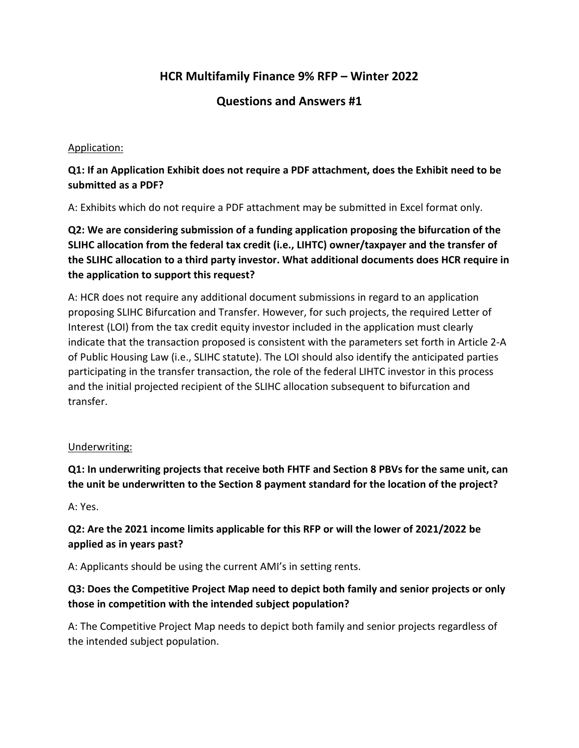# **HCR Multifamily Finance 9% RFP – Winter 2022**

# **Questions and Answers #1**

#### Application:

# **Q1: If an Application Exhibit does not require a PDF attachment, does the Exhibit need to be submitted as a PDF?**

A: Exhibits which do not require a PDF attachment may be submitted in Excel format only.

**Q2: We are considering submission of a funding application proposing the bifurcation of the SLIHC allocation from the federal tax credit (i.e., LIHTC) owner/taxpayer and the transfer of the SLIHC allocation to a third party investor. What additional documents does HCR require in the application to support this request?** 

A: HCR does not require any additional document submissions in regard to an application proposing SLIHC Bifurcation and Transfer. However, for such projects, the required Letter of Interest (LOI) from the tax credit equity investor included in the application must clearly indicate that the transaction proposed is consistent with the parameters set forth in Article 2-A of Public Housing Law (i.e., SLIHC statute). The LOI should also identify the anticipated parties participating in the transfer transaction, the role of the federal LIHTC investor in this process and the initial projected recipient of the SLIHC allocation subsequent to bifurcation and transfer.

#### Underwriting:

**Q1: In underwriting projects that receive both FHTF and Section 8 PBVs for the same unit, can the unit be underwritten to the Section 8 payment standard for the location of the project?** 

A: Yes.

# **Q2: Are the 2021 income limits applicable for this RFP or will the lower of 2021/2022 be applied as in years past?**

A: Applicants should be using the current AMI's in setting rents.

### **Q3: Does the Competitive Project Map need to depict both family and senior projects or only those in competition with the intended subject population?**

A: The Competitive Project Map needs to depict both family and senior projects regardless of the intended subject population.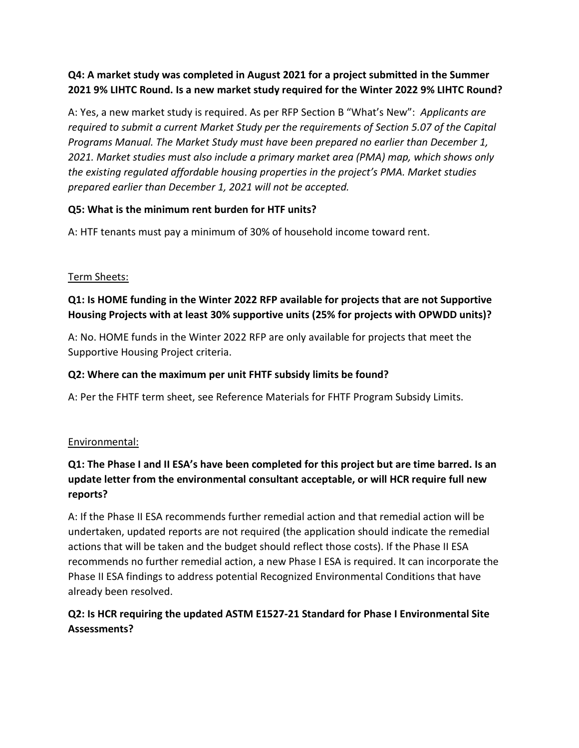# **Q4: A market study was completed in August 2021 for a project submitted in the Summer 2021 9% LIHTC Round. Is a new market study required for the Winter 2022 9% LIHTC Round?**

A: Yes, a new market study is required. As per RFP Section B "What's New": *Applicants are required to submit a current Market Study per the requirements of Section 5.07 of the Capital Programs Manual. The Market Study must have been prepared no earlier than December 1, 2021. Market studies must also include a primary market area (PMA) map, which shows only the existing regulated affordable housing properties in the project's PMA. Market studies prepared earlier than December 1, 2021 will not be accepted.*

# **Q5: What is the minimum rent burden for HTF units?**

A: HTF tenants must pay a minimum of 30% of household income toward rent.

#### Term Sheets:

# **Q1: Is HOME funding in the Winter 2022 RFP available for projects that are not Supportive Housing Projects with at least 30% supportive units (25% for projects with OPWDD units)?**

A: No. HOME funds in the Winter 2022 RFP are only available for projects that meet the Supportive Housing Project criteria.

#### **Q2: Where can the maximum per unit FHTF subsidy limits be found?**

A: Per the FHTF term sheet, see Reference Materials for FHTF Program Subsidy Limits.

#### Environmental:

# **Q1: The Phase I and II ESA's have been completed for this project but are time barred. Is an update letter from the environmental consultant acceptable, or will HCR require full new reports?**

A: If the Phase II ESA recommends further remedial action and that remedial action will be undertaken, updated reports are not required (the application should indicate the remedial actions that will be taken and the budget should reflect those costs). If the Phase II ESA recommends no further remedial action, a new Phase I ESA is required. It can incorporate the Phase II ESA findings to address potential Recognized Environmental Conditions that have already been resolved.

# **Q2: Is HCR requiring the updated ASTM E1527-21 Standard for Phase I Environmental Site Assessments?**